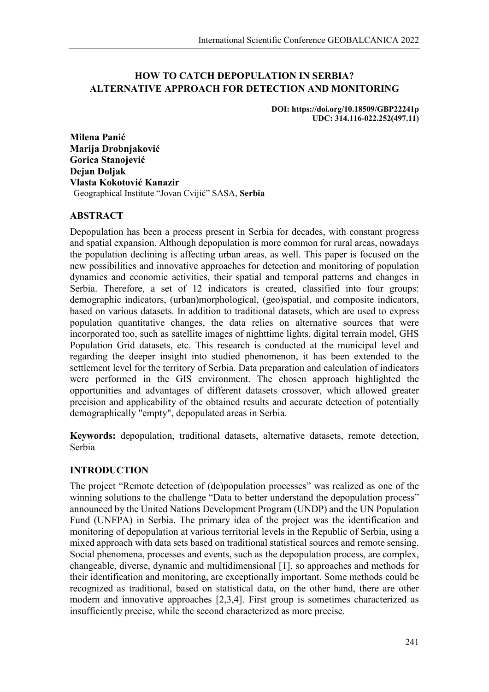### **HOW TO CATCH DEPOPULATION IN SERBIA? ALTERNATIVE APPROACH FOR DETECTION AND MONITORING**

**DOI: https://doi.org/10.18509/GBP22241p UDC: 314.116-022.252(497.11)**

**Milena Panić Marija Drobnjaković Gorica Stanojević Dejan Doljak Vlasta Kokotović Kanazir** Geographical Institute "Jovan Cvijić" SASA, **Serbia**

### **ABSTRACT**

Depopulation has been a process present in Serbia for decades, with constant progress and spatial expansion. Although depopulation is more common for rural areas, nowadays the population declining is affecting urban areas, as well. This paper is focused on the new possibilities and innovative approaches for detection and monitoring of population dynamics and economic activities, their spatial and temporal patterns and changes in Serbia. Therefore, a set of 12 indicators is created, classified into four groups: demographic indicators, (urban)morphological, (geo)spatial, and composite indicators, based on various datasets. In addition to traditional datasets, which are used to express population quantitative changes, the data relies on alternative sources that were incorporated too, such as satellite images of nighttime lights, digital terrain model, GHS Population Grid datasets, etc. This research is conducted at the municipal level and regarding the deeper insight into studied phenomenon, it has been extended to the settlement level for the territory of Serbia. Data preparation and calculation of indicators were performed in the GIS environment. The chosen approach highlighted the opportunities and advantages of different datasets crossover, which allowed greater precision and applicability of the obtained results and accurate detection of potentially demographically "empty", depopulated areas in Serbia.

**Keywords:** depopulation, traditional datasets, alternative datasets, remote detection, Serbia

### **INTRODUCTION**

The project "Remote detection of (de)population processes" was realized as one of the winning solutions to the challenge "Data to better understand the depopulation process" announced by the United Nations Development Program (UNDP) and the UN Population Fund (UNFPA) in Serbia. The primary idea of the project was the identification and monitoring of depopulation at various territorial levels in the Republic of Serbia, using a mixed approach with data sets based on traditional statistical sources and remote sensing. Social phenomena, processes and events, such as the depopulation process, are complex, changeable, diverse, dynamic and multidimensional [1], so approaches and methods for their identification and monitoring, are exceptionally important. Some methods could be recognized as traditional, based on statistical data, on the other hand, there are other modern and innovative approaches [2,3,4]. First group is sometimes characterized as insufficiently precise, while the second characterized as more precise.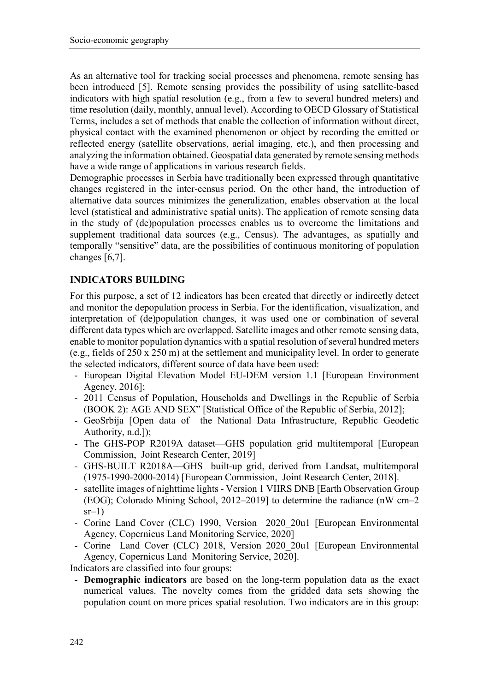As an alternative tool for tracking social processes and phenomena, remote sensing has been introduced [5]. Remote sensing provides the possibility of using satellite-based indicators with high spatial resolution (e.g., from a few to several hundred meters) and time resolution (daily, monthly, annual level). According to OECD Glossary of Statistical Terms, includes a set of methods that enable the collection of information without direct, physical contact with the examined phenomenon or object by recording the emitted or reflected energy (satellite observations, aerial imaging, etc.), and then processing and analyzing the information obtained. Geospatial data generated by remote sensing methods have a wide range of applications in various research fields.

Demographic processes in Serbia have traditionally been expressed through quantitative changes registered in the inter-census period. On the other hand, the introduction of alternative data sources minimizes the generalization, enables observation at the local level (statistical and administrative spatial units). The application of remote sensing data in the study of (de)population processes enables us to overcome the limitations and supplement traditional data sources (e.g., Census). The advantages, as spatially and temporally "sensitive" data, are the possibilities of continuous monitoring of population changes [6,7].

### **INDICATORS BUILDING**

For this purpose, a set of 12 indicators has been created that directly or indirectly detect and monitor the depopulation process in Serbia. For the identification, visualization, and interpretation of (de)population changes, it was used one or combination of several different data types which are overlapped. Satellite images and other remote sensing data, enable to monitor population dynamics with a spatial resolution of several hundred meters (e.g., fields of 250 x 250 m) at the settlement and municipality level. In order to generate the selected indicators, different source of data have been used:

- European Digital Elevation Model EU-DEM version 1.1 [European Environment Agency, 2016];
- 2011 Census of Population, Households and Dwellings in the Republic of Serbia (BOOK 2): AGE AND SEX" [Statistical Office of the Republic of Serbia, 2012];
- GeoSrbija [Open data of the National Data Infrastructure, Republic Geodetic Authority, n.d.]);
- The GHS-POP R2019A dataset—GHS population grid multitemporal [European Commission, Joint Research Center, 2019]
- GHS-BUILT R2018A—GHS built-up grid, derived from Landsat, multitemporal (1975-1990-2000-2014) [European Commission, Joint Research Center, 2018].
- satellite images of nighttime lights Version 1 VIIRS DNB [Earth Observation Group (EOG); Colorado Mining School, 2012–2019] to determine the radiance (nW cm–2  $sr-1)$
- Corine Land Cover (CLC) 1990, Version 2020\_20u1 [European Environmental Agency, Copernicus Land Monitoring Service, 2020]
- Corine Land Cover (CLC) 2018, Version 2020 20u1 [European Environmental Agency, Copernicus Land Monitoring Service, 2020].

Indicators are classified into four groups:

- **Demographic indicators** are based on the long-term population data as the exact numerical values. The novelty comes from the gridded data sets showing the population count on more prices spatial resolution. Two indicators are in this group: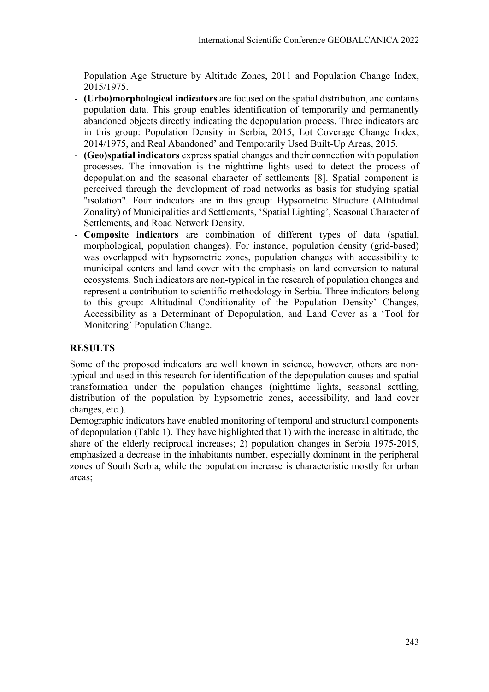Population Age Structure by Altitude Zones, 2011 and Population Change Index, 2015/1975.

- **(Urbo)morphological indicators** are focused on the spatial distribution, and contains population data. This group enables identification of temporarily and permanently abandoned objects directly indicating the depopulation process. Three indicators are in this group: Population Density in Serbia, 2015, Lot Coverage Change Index, 2014/1975, and Real Abandoned' and Temporarily Used Built-Up Areas, 2015.
- **(Geo)spatial indicators** express spatial changes and their connection with population processes. The innovation is the nighttime lights used to detect the process of depopulation and the seasonal character of settlements [8]. Spatial component is perceived through the development of road networks as basis for studying spatial "isolation". Four indicators are in this group: Hypsometric Structure (Altitudinal Zonality) of Municipalities and Settlements, 'Spatial Lighting', Seasonal Character of Settlements, and Road Network Density.
- **Composite indicators** are combination of different types of data (spatial, morphological, population changes). For instance, population density (grid-based) was overlapped with hypsometric zones, population changes with accessibility to municipal centers and land cover with the emphasis on land conversion to natural ecosystems. Such indicators are non-typical in the research of population changes and represent a contribution to scientific methodology in Serbia. Three indicators belong to this group: Altitudinal Conditionality of the Population Density' Changes, Accessibility as a Determinant of Depopulation, and Land Cover as a 'Tool for Monitoring' Population Change.

# **RESULTS**

Some of the proposed indicators are well known in science, however, others are nontypical and used in this research for identification of the depopulation causes and spatial transformation under the population changes (nighttime lights, seasonal settling, distribution of the population by hypsometric zones, accessibility, and land cover changes, etc.).

Demographic indicators have enabled monitoring of temporal and structural components of depopulation (Table 1). They have highlighted that 1) with the increase in altitude, the share of the elderly reciprocal increases; 2) population changes in Serbia 1975-2015, emphasized a decrease in the inhabitants number, especially dominant in the peripheral zones of South Serbia, while the population increase is characteristic mostly for urban areas;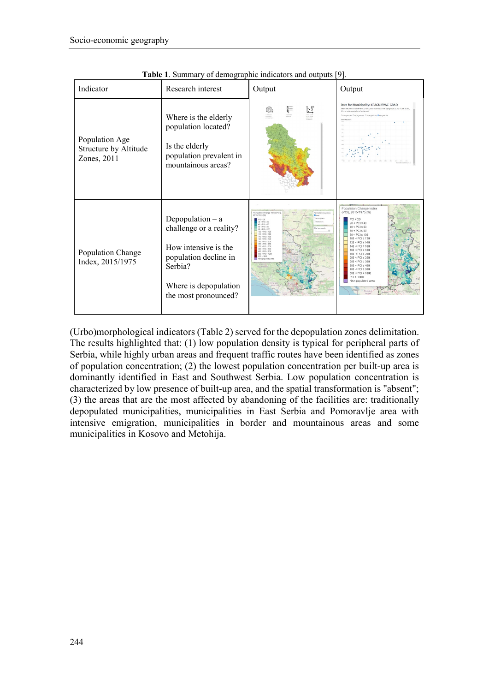| Indicator                                              | Research interest                                                                                                                                          | Output                                                                                                                                                                                                                                                                                                                                                                  | Output                                                                                                                                                                                                                                                                                                                                                                      |
|--------------------------------------------------------|------------------------------------------------------------------------------------------------------------------------------------------------------------|-------------------------------------------------------------------------------------------------------------------------------------------------------------------------------------------------------------------------------------------------------------------------------------------------------------------------------------------------------------------------|-----------------------------------------------------------------------------------------------------------------------------------------------------------------------------------------------------------------------------------------------------------------------------------------------------------------------------------------------------------------------------|
| Population Age<br>Structure by Altitude<br>Zones, 2011 | Where is the elderly<br>population located?<br>Is the elderly<br>population prevalent in<br>mountainous areas?                                             | $\sum_{\scriptscriptstyle \text{sum} \atop \scriptscriptstyle \text{sum} }$                                                                                                                                                                                                                                                                                             | Data for Municipality: KRAGUJEVAC-GRAD<br>Mean elevation of settlements (m a.s.l.) and share (%) of the age groups (0-14, 15-38, 40-64,<br>65+) in total population of settlement<br>O bina years old O 15-39 years old O 40-54 years old <sup>46</sup> 65+ years old                                                                                                       |
| Population Change<br>Index, 2015/1975                  | Depopulation $-$ a<br>challenge or a reality?<br>How intensive is the<br>population decline in<br>Serbia?<br>Where is depopulation<br>the most pronounced? | opulation Change Index (P)<br>015/1975 1%<br>$20 \times BC1 \leq 40$<br>$10 \times PC1 \times BC$<br>$10 \times PC1 \times 10$<br>to love coach<br>$0 \leq$ $PCT \leq 10$<br>01 < PC1 < 12<br>20 < PC1 < 541<br>41 < PC1 < 161<br>$0 < PQ \leq 10$<br>10 < PC1 < 200<br>03 × 021 × 265<br>150 × PCI s 300<br>$01 < PG \times 410$<br>int < PCL< Atd<br>$501 < PQ$ s 100 | Population Change Index<br>(PCI), 2015/1975 [%]<br>$PCI \leq 20$<br>$20 < PCI \le 40$<br>$40 < PCI \leq 60$<br>$60 < PCI \leq 80$<br>$80 < PCI \leq 100$<br>$100 < PCI \leq 120$<br>$120 < PC \le 140$<br>$180 < PQ$ ≤ 200<br>$200 < PQ$ s $250$<br>$250 < PQ$ s 300<br>$300 < PQ \leq 400$<br>$400 < PQ \le 500$<br>$500 < PQ$ \$ 1000<br>PCI > 1000<br>New populated area |

**Table 1**. Summary of demographic indicators and outputs [9].

(Urbo)morphological indicators (Table 2) served for the depopulation zones delimitation. The results highlighted that: (1) low population density is typical for peripheral parts of Serbia, while highly urban areas and frequent traffic routes have been identified as zones of population concentration; (2) the lowest population concentration per built-up area is dominantly identified in East and Southwest Serbia. Low population concentration is characterized by low presence of built-up area, and the spatial transformation is "absent"; (3) the areas that are the most affected by abandoning of the facilities are: traditionally depopulated municipalities, municipalities in East Serbia and Pomoravlje area with intensive emigration, municipalities in border and mountainous areas and some municipalities in Kosovo and Metohija.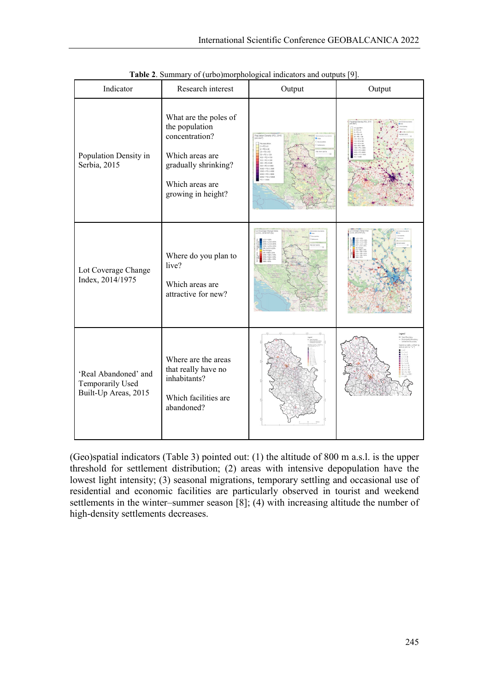| Indicator                                                        | Research interest                                                                                                                             | Output             | Output |
|------------------------------------------------------------------|-----------------------------------------------------------------------------------------------------------------------------------------------|--------------------|--------|
| Population Density in<br>Serbia, 2015                            | What are the poles of<br>the population<br>concentration?<br>Which areas are<br>gradually shrinking?<br>Which areas are<br>growing in height? |                    |        |
| Lot Coverage Change<br>Index, 2014/1975                          | Where do you plan to<br>live?<br>Which areas are<br>attractive for new?                                                                       | Lot Covenage Chang |        |
| 'Real Abandoned' and<br>Temporarily Used<br>Built-Up Areas, 2015 | Where are the areas<br>that really have no<br>inhabitants?<br>Which facilities are<br>abandoned?                                              |                    |        |

**Table 2**. Summary of (urbo)morphological indicators and outputs [9].

(Geo)spatial indicators (Table 3) pointed out: (1) the altitude of 800 m a.s.l. is the upper threshold for settlement distribution; (2) areas with intensive depopulation have the lowest light intensity; (3) seasonal migrations, temporary settling and occasional use of residential and economic facilities are particularly observed in tourist and weekend settlements in the winter–summer season [8]; (4) with increasing altitude the number of high-density settlements decreases.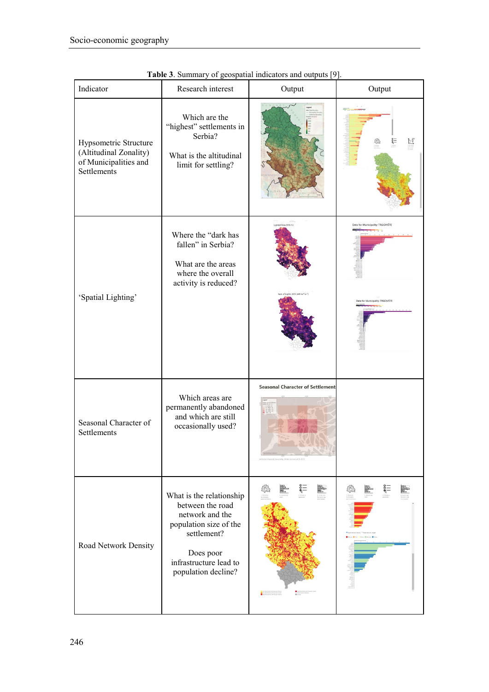| Indicator                                                                               | Research interest                                                                                                                                                      | Output                                                                                                       | Output                                                              |
|-----------------------------------------------------------------------------------------|------------------------------------------------------------------------------------------------------------------------------------------------------------------------|--------------------------------------------------------------------------------------------------------------|---------------------------------------------------------------------|
| Hypsometric Structure<br>(Altitudinal Zonality)<br>of Municipalities and<br>Settlements | Which are the<br>"highest" settlements in<br>Serbia?<br>What is the altitudinal<br>limit for settling?                                                                 |                                                                                                              | ξΞ                                                                  |
| 'Spatial Lighting'                                                                      | Where the "dark has<br>fallen" in Serbia?<br>What are the areas<br>where the overall<br>activity is reduced?                                                           |                                                                                                              | Data for Municipality: TRGOVIŠTE<br>ata for Municipality: TRGOVIŠTE |
| Seasonal Character of<br>Settlements                                                    | Which areas are<br>permanently abandoned<br>and which are still<br>occasionally used?                                                                                  | <b>Seasonal Character of Settlements</b>                                                                     |                                                                     |
| Road Network Density                                                                    | What is the relationship<br>between the road<br>network and the<br>population size of the<br>settlement?<br>Does poor<br>infrastructure lead to<br>population decline? | List Post Database Provider Deli<br>List Post Bergs vet Provider Silv<br>The Fortuna Deliver of Provider Del |                                                                     |

**Table 3**. Summary of geospatial indicators and outputs [9].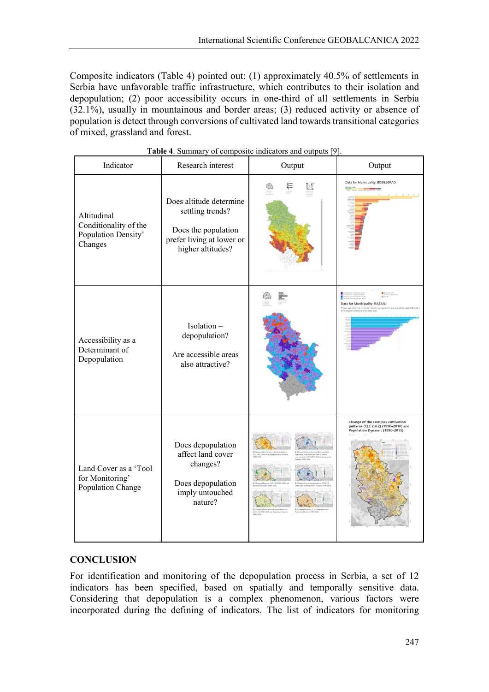Composite indicators (Table 4) pointed out: (1) approximately 40.5% of settlements in Serbia have unfavorable traffic infrastructure, which contributes to their isolation and depopulation; (2) poor accessibility occurs in one-third of all settlements in Serbia (32.1%), usually in mountainous and border areas; (3) reduced activity or absence of population is detect through conversions of cultivated land towards transitional categories of mixed, grassland and forest.

| Indicator                                                              | Research interest                                                                                                    | Output          | Output                                                                                                        |
|------------------------------------------------------------------------|----------------------------------------------------------------------------------------------------------------------|-----------------|---------------------------------------------------------------------------------------------------------------|
| Altitudinal<br>Conditionality of the<br>Population Density'<br>Changes | Does altitude determine<br>settling trends?<br>Does the population<br>prefer living at lower or<br>higher altitudes? | <b>SOF</b><br>Ŀ | Data for Municipality: BOSILEGRAD                                                                             |
| Accessibility as a<br>Determinant of<br>Depopulation                   | $Isolation =$<br>depopulation?<br>Are accessible areas<br>also attractive?                                           |                 | Data for Municipality: RAŽANJ<br>average travel time (in minutes) to the m<br>rape time distance at the state |
| Land Cover as a 'Tool<br>for Monitoring'<br>Population Change          | Does depopulation<br>affect land cover<br>changes?<br>Does depopulation<br>imply untouched<br>nature?                |                 | Change of the Complex cultivation<br>patterns (CLC 2.4.2) (1990-2018) and<br>Population Dynamic (1990-2015)   |

**Table 4**. Summary of composite indicators and outputs [9].

## **CONCLUSION**

For identification and monitoring of the depopulation process in Serbia, a set of 12 indicators has been specified, based on spatially and temporally sensitive data. Considering that depopulation is a complex phenomenon, various factors were incorporated during the defining of indicators. The list of indicators for monitoring